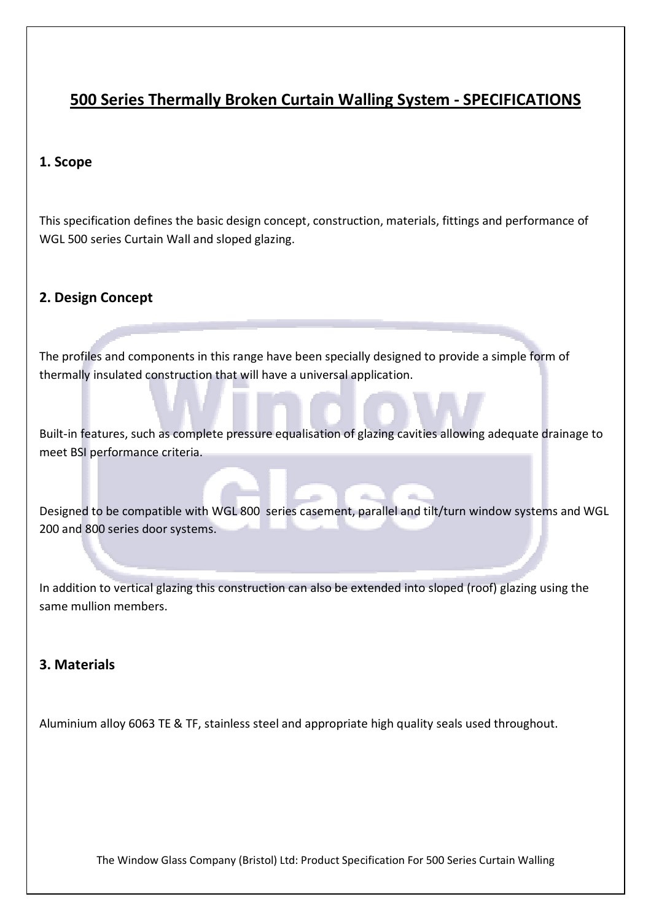# 500 Series Thermally Broken Curtain Walling System - SPECIFICATIONS

#### 1. Scope

This specification defines the basic design concept, construction, materials, fittings and performance of WGL 500 series Curtain Wall and sloped glazing.

#### 2. Design Concept

The profiles and components in this range have been specially designed to provide a simple form of thermally insulated construction that will have a universal application.

Built-in features, such as complete pressure equalisation of glazing cavities allowing adequate drainage to meet BSI performance criteria.

Designed to be compatible with WGL 800 series casement, parallel and tilt/turn window systems and WGL 200 and 800 series door systems.

In addition to vertical glazing this construction can also be extended into sloped (roof) glazing using the same mullion members.

### 3. Materials

Aluminium alloy 6063 TE & TF, stainless steel and appropriate high quality seals used throughout.

The Window Glass Company (Bristol) Ltd: Product Specification For 500 Series Curtain Walling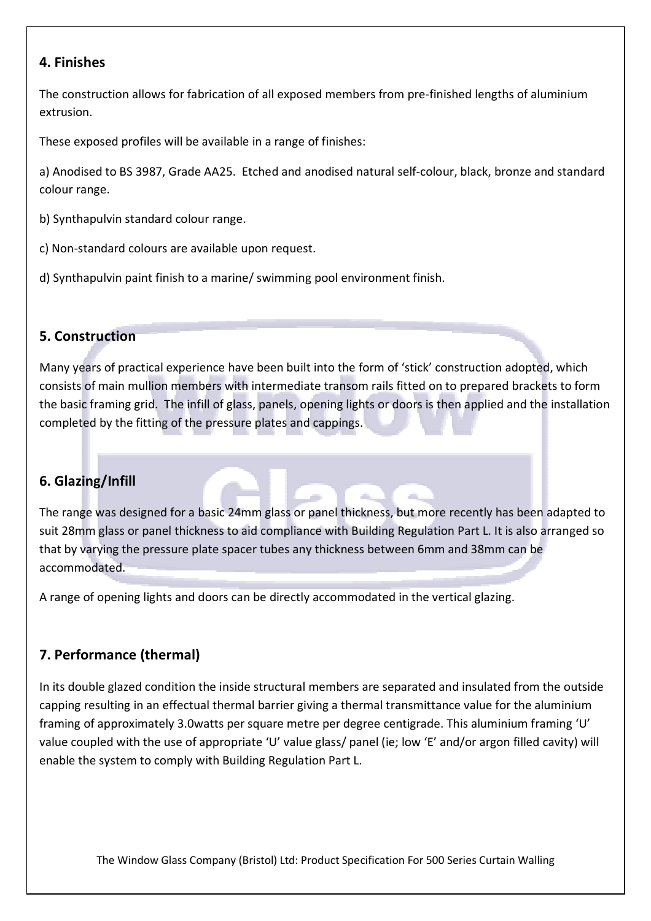### 4. Finishes

The construction allows for fabrication of all exposed members from pre-finished lengths of aluminium extrusion.

These exposed profiles will be available in a range of finishes:

a) Anodised to BS 3987, Grade AA25. Etched and anodised natural self-colour, black, bronze and standard colour range.

b) Synthapulvin standard colour range.

c) Non-standard colours are available upon request.

d) Synthapulvin paint finish to a marine/ swimming pool environment finish.

# 5. Construction

Many years of practical experience have been built into the form of 'stick' construction adopted, which consists of main mullion members with intermediate transom rails fitted on to prepared brackets to form the basic framing grid. The infill of glass, panels, opening lights or doors is then applied and the installation completed by the fitting of the pressure plates and cappings.

# 6. Glazing/Infill

The range was designed for a basic 24mm glass or panel thickness, but more recently has been adapted to suit 28mm glass or panel thickness to aid compliance with Building Regulation Part L. It is also arranged so that by varying the pressure plate spacer tubes any thickness between 6mm and 38mm can be accommodated.

A range of opening lights and doors can be directly accommodated in the vertical glazing.

# 7. Performance (thermal)

In its double glazed condition the inside structural members are separated and insulated from the outside capping resulting in an effectual thermal barrier giving a thermal transmittance value for the aluminium framing of approximately 3.0watts per square metre per degree centigrade. This aluminium framing 'U' value coupled with the use of appropriate 'U' value glass/ panel (ie; low 'E' and/or argon filled cavity) will enable the system to comply with Building Regulation Part L.